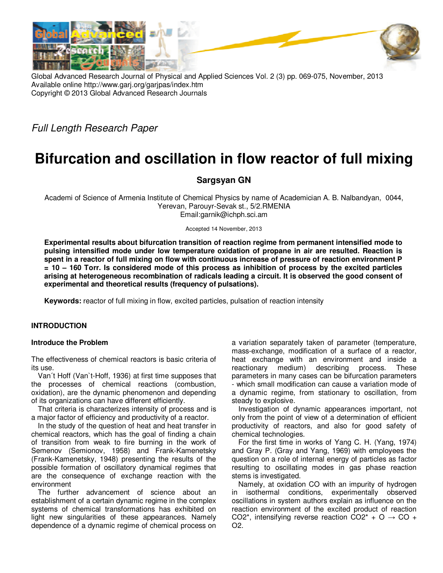

Global Advanced Research Journal of Physical and Applied Sciences Vol. 2 (3) pp. 069-075, November, 2013 Available online http://www.garj.org/garjpas/index.htm Copyright © 2013 Global Advanced Research Journals

Full Length Research Paper

# **Bifurcation and oscillation in flow reactor of full mixing**

# **Sargsyan GN**

Academi of Science of Armenia Institute of Chemical Physics by name of Academician A. B. Nalbandyan, 0044, Yerevan, Parouyr-Sevak st., 5/2.RMENIA Email:garnik@ichph.sci.am

Accepted 14 November, 2013

**Experimental results about bifurcation transition of reaction regime from permanent intensified mode to pulsing intensified mode under low temperature oxidation of propane in air are resulted. Reaction is spent in a reactor of full mixing on flow with continuous increase of pressure of reaction environment P = 10 – 160 Torr. Is considered mode of this process as inhibition of process by the excited particles arising at heterogeneous recombination of radicals leading a circuit. It is observed the good consent of experimental and theoretical results (frequency of pulsations).** 

**Keywords:** reactor of full mixing in flow, excited particles, pulsation of reaction intensity

## **INTRODUCTION**

#### **Introduce the Problem**

The effectiveness of chemical reactors is basic criteria of its use.

Van´t Hoff (Van`t-Hoff, 1936) at first time supposes that the processes of chemical reactions (combustion, oxidation), are the dynamic phenomenon and depending of its organizations can have different efficiently.

That criteria is characterizes intensity of process and is a major factor of efficiency and productivity of a reactor.

In the study of the question of heat and heat transfer in chemical reactors, which has the goal of finding a chain of transition from weak to fire burning in the work of Semenov (Semionov, 1958) and Frank-Kamenetsky (Frank-Kamenetsky, 1948) presenting the results of the possible formation of oscillatory dynamical regimes that are the consequence of exchange reaction with the environment

The further advancement of science about an establishment of a certain dynamic regime in the complex systems of chemical transformations has exhibited on light new singularities of these appearances. Namely dependence of a dynamic regime of chemical process on

a variation separately taken of parameter (temperature, mass-exchange, modification of a surface of a reactor, heat exchange with an environment and inside a reactionary medium) describing process. These parameters in many cases can be bifurcation parameters - which small modification can cause a variation mode of a dynamic regime, from stationary to oscillation, from steady to explosive.

Investigation of dynamic appearances important, not only from the point of view of a determination of efficient productivity of reactors, and also for good safety of chemical technologies.

For the first time in works of Yang C. H. (Yang, 1974) and Gray P. (Gray and Yang, 1969) with employees the question on a role of internal energy of particles as factor resulting to oscillating modes in gas phase reaction stems is investigated.

Namely, at oxidation CO with an impurity of hydrogen in isothermal conditions, experimentally observed oscillations in system authors explain as influence on the reaction environment of the excited product of reaction CO2<sup>\*</sup>, intensifying reverse reaction CO2<sup>\*</sup> + O  $\rightarrow$  CO + О2.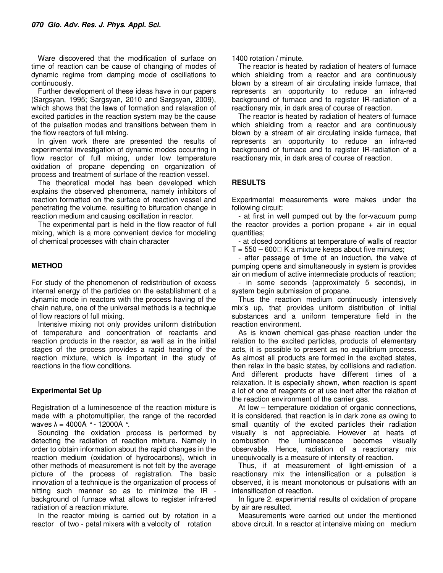Ware discovered that the modification of surface on time of reaction can be cause of changing of modes of dynamic regime from damping mode of oscillations to continuously.

Further development of these ideas have in our papers (Sargsyan, 1995; Sargsyan, 2010 and Sargsyan, 2009), which shows that the laws of formation and relaxation of excited particles in the reaction system may be the cause of the pulsation modes and transitions between them in the flow reactors of full mixing.

In given work there are presented the results of experimental investigation of dynamic modes occurring in flow reactor of full mixing, under low temperature oxidation of propane depending on organization of process and treatment of surface of the reaction vessel.

The theoretical model has been developed which explains the observed phenomena, namely inhibitors of reaction formatted on the surface of reaction vessel and penetrating the volume, resulting to bifurcation change in reaction medium and causing oscillation in reactor.

The experimental part is held in the flow reactor of full mixing, which is a more convenient device for modeling of chemical processes with chain character

#### **METHOD**

For study of the phenomenon of redistribution of excess internal energy of the particles on the establishment of a dynamic mode in reactors with the process having of the chain nature, one of the universal methods is a technique of flow reactors of full mixing.

Intensive mixing not only provides uniform distribution of temperature and concentration of reactants and reaction products in the reactor, as well as in the initial stages of the process provides a rapid heating of the reaction mixture, which is important in the study of reactions in the flow conditions.

#### **Experimental Set Up**

Registration of a luminescence of the reaction mixture is made with a photomultiplier, the range of the recorded waves  $\lambda = 4000$ A ° - 12000A °.

Sounding the oxidation process is performed by detecting the radiation of reaction mixture. Namely in order to obtain information about the rapid changes in the reaction medium (oxidation of hydrocarbons), which in other methods of measurement is not felt by the average picture of the process of registration. The basic innovation of a technique is the organization of process of hitting such manner so as to minimize the IR background of furnace what allows to register infra-red radiation of a reaction mixture.

In the reactor mixing is carried out by rotation in a reactor of two - petal mixers with a velocity of rotation

#### 1400 rotation / minute.

The reactor is heated by radiation of heaters of furnace which shielding from a reactor and are continuously blown by a stream of air circulating inside furnace, that represents an opportunity to reduce an infra-red background of furnace and to register IR-radiation of a reactionary mix, in dark area of course of reaction.

The reactor is heated by radiation of heaters of furnace which shielding from a reactor and are continuously blown by a stream of air circulating inside furnace, that represents an opportunity to reduce an infra-red background of furnace and to register IR-radiation of a reactionary mix, in dark area of course of reaction.

### **RESULTS**

Experimental measurements were makes under the following circuit:

- at first in well pumped out by the for-vacuum pump the reactor provides a portion propane  $+$  air in equal quantities;

- at closed conditions at temperature of walls of reactor  $T = 550 - 600$  K a mixture keeps about five minutes;

- after passage of time of an induction, the valve of pumping opens and simultaneously in system is provides air on medium of active intermediate products of reaction;

- in some seconds (approximately 5 seconds), in system begin submission of propane.

Thus the reaction medium continuously intensively mix's up, that provides uniform distribution of initial substances and a uniform temperature field in the reaction environment.

As is known chemical gas-phase reaction under the relation to the excited particles, products of elementary acts, it is possible to present as no equilibrium process. As almost all products are formed in the excited states, then relax in the basic states, by collisions and radiation. And different products have different times of a relaxation. It is especially shown, when reaction is spent a lot of one of reagents or at use inert after the relation of the reaction environment of the carrier gas.

At low – temperature oxidation of organic connections, it is considered, that reaction is in dark zone as owing to small quantity of the excited particles their radiation visually is not appreciable. However at heats of combustion the luminescence becomes visually observable. Hence, radiation of a reactionary mix unequivocally is a measure of intensity of reaction.

Thus, if at measurement of light-emission of a reactionary mix the intensification or a pulsation is observed, it is meant monotonous or pulsations with an intensification of reaction.

In figure 2. experimental results of oxidation of propane by air are resulted.

Measurements were carried out under the mentioned above circuit. In a reactor at intensive mixing on medium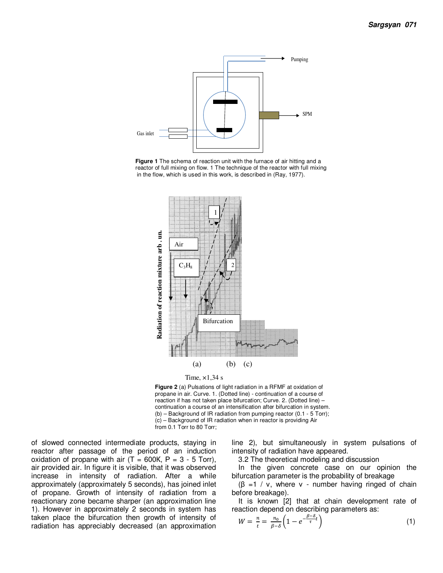

**Figure 1** The schema of reaction unit with the furnace of air hitting and a reactor of full mixing on flow. 1 The technique of the reactor with full mixing in the flow, which is used in this work, is described in (Ray, 1977).





**Figure 2** (a) Pulsations of light radiation in a RFMF at oxidation of propane in air. Curve. 1. (Dotted line) - continuation of a course of reaction if has not taken place bifurcation; Curve. 2. (Dotted line) – continuation a course of an intensification after bifurcation in system. (b) – Background of IR radiation from pumping reactor (0.1 - 5 Torr); (c) – Background of IR radiation when in reactor is providing Air from 0.1 Torr to 80 Torr;

of slowed connected intermediate products, staying in reactor after passage of the period of an induction oxidation of propane with air  $(T = 600K, P = 3 - 5$  Torr), air provided air. In figure it is visible, that it was observed increase in intensity of radiation. After a while approximately (approximately 5 seconds), has joined inlet of propane. Growth of intensity of radiation from a reactionary zone became sharper (an approximation line 1). However in approximately 2 seconds in system has taken place the bifurcation then growth of intensity of radiation has appreciably decreased (an approximation line 2), but simultaneously in system pulsations of intensity of radiation have appeared.

3.2 The theoretical modeling and discussion

In the given concrete case on our opinion the bifurcation parameter is the probability of breakage

 $(\beta = 1 / v,$  where v - number having ringed of chain before breakage).

It is known [2] that at chain development rate of reaction depend on describing parameters as:

$$
W = \frac{n}{t} = \frac{n_0}{\beta - \delta} \left( 1 - e^{-\frac{\beta - \delta}{\tau}} \right)
$$
 (1)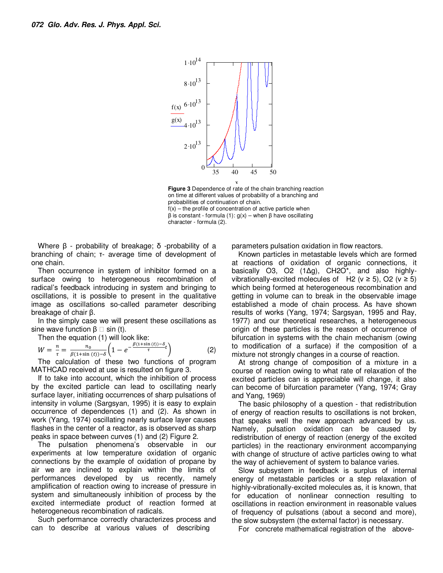



Where β - probability of breakage; δ -probability of a branching of chain; τ- average time of development of one chain.

Then occurrence in system of inhibitor formed on a surface owing to heterogeneous recombination of radical's feedback introducing in system and bringing to oscillations, it is possible to present in the qualitative image as oscillations so-called parameter describing breakage of chair β.

In the simply case we will present these oscillations as sine wave function  $\beta \Box$  sin (t).

Then the equation (1) will look like:

$$
W = \frac{n}{\tau} = \frac{n_0}{\beta(1+\sin(t)) - \delta} \left(1 - e^{-\frac{\beta(1+\sin(t)) - \delta}{\tau}}\right)
$$
(2)

The calculation of these two functions of program MATHCAD received at use is resulted on figure 3.

If to take into account, which the inhibition of process by the excited particle can lead to oscillating nearly surface layer, initiating occurrences of sharp pulsations of intensity in volume (Sargsyan, 1995) it is easy to explain occurrence of dependences (1) and (2). As shown in work (Yang, 1974) oscillating nearly surface layer causes flashes in the center of a reactor, as is observed as sharp peaks in space between curves (1) and (2) Figure 2.

The pulsation phenomena's observable in our experiments at low temperature oxidation of organic connections by the example of oxidation of propane by air we are inclined to explain within the limits of performances developed by us recently, namely amplification of reaction owing to increase of pressure in system and simultaneously inhibition of process by the excited intermediate product of reaction formed at heterogeneous recombination of radicals.

Such performance correctly characterizes process and can to describe at various values of describing

parameters pulsation oxidation in flow reactors.

Known particles in metastable levels which are formed at reactions of oxidation of organic connections, it basically O3, O2 (1∆g), CH2O\*, and also highlyvibrationally-excited molecules of H2 ( $v \ge 5$ ), O2 ( $v \ge 5$ ) which being formed at heterogeneous recombination and getting in volume can to break in the observable image established a mode of chain process. As have shown results of works (Yang, 1974; Sargsyan, 1995 and Ray, 1977) and our theoretical researches, a heterogeneous origin of these particles is the reason of occurrence of bifurcation in systems with the chain mechanism (owing to modification of a surface) if the composition of a mixture not strongly changes in a course of reaction.

At strong change of composition of a mixture in a course of reaction owing to what rate of relaxation of the excited particles can is appreciable will change, it also can become of bifurcation parameter (Yang, 1974; Gray and Yang, 1969)

The basic philosophy of a question - that redistribution of energy of reaction results to oscillations is not broken, that speaks well the new approach advanced by us. Namely, pulsation oxidation can be caused by redistribution of energy of reaction (energy of the excited particles) in the reactionary environment accompanying with change of structure of active particles owing to what the way of achievement of system to balance varies.

Slow subsystem in feedback is surplus of internal energy of metastable particles or a step relaxation of highly-vibrationally-excited molecules as, it is known, that for education of nonlinear connection resulting to oscillations in reaction environment in reasonable values of frequency of pulsations (about a second and more), the slow subsystem (the external factor) is necessary.

For concrete mathematical registration of the above-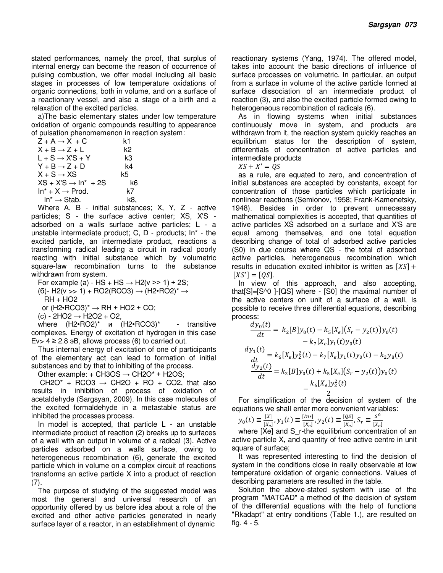stated performances, namely the proof, that surplus of internal energy can become the reason of occurrence of pulsing combustion, we offer model including all basic stages in processes of low temperature oxidations of organic connections, both in volume, and on a surface of a reactionary vessel, and also a stage of a birth and a relaxation of the excited particles.

a)The basic elementary states under low temperature oxidation of organic compounds resulting to appearance of pulsation phenomemenon in reaction system:

| $Z + A \rightarrow X + C$        | k1  |
|----------------------------------|-----|
| $X + B \rightarrow Z + L$        | k2  |
| $L$ + S $\rightarrow$ X'S + Y    | k3  |
| $Y + B \rightarrow Z + D$        | k4  |
| $X + S \rightarrow XS$           | k5. |
| $XS + X'S \rightarrow In^* + 2S$ | k6  |
| $\ln^*$ + $X \rightarrow$ Prod.  | k7  |
| $In^* \rightarrow Stab$ .        | k8. |

Where A, B - initial substances; X, Y, Z - active particles; S - the surface active center; XS, X'S adsorbed on a walls surface active particles; L - a unstable intermediate product; C, D - products; In\* - the excited particle, an intermediate product, reactions a transforming radical leading a circuit in radical poorly reacting with initial substance which by volumetric square-law recombination turns to the substance withdrawn from system.

For example (a) - HS + HS  $\rightarrow$  H2(v >> 1) + 2S;

(б)- H2(v >> 1) + RO2(RCO3) → (H2•RO2)<sup>\*</sup> → RH + HO2

or  $(H2 \cdot RCO3)^* \rightarrow RH + HO2 + CO;$ 

(с) - 2HO2 → H2O2 + O2,

where  $(H2 \cdot \text{RO2})^*$  и  $(H2 \cdot \text{RCO3})^*$  - transitive complexes. Energy of excitation of hydrogen in this case Ev >  $4 \ge 2.8$  aB, allows process (6) to carried out.

Thus internal energy of excitation of one of participants of the elementary act can lead to formation of initial substances and by that to inhibiting of the process.

Other example: + CH3OS  $\rightarrow$  CH2O\* + H2OS;

CH2O\* + RCO3  $\rightarrow$  CH2O + RO + CO2, that also results in inhibition of process of oxidation of acetaldehyde (Sargsyan, 2009). In this case molecules of the excited formaldehyde in a metastable status are inhibited the processes process.

In model is accepted, that particle L - an unstable intermediate product of reaction (2) breaks up to surfaces of a wall with an output in volume of a radical (3). Active particles adsorbed on a walls surface, owing to heterogeneous recombination (6), generate the excited particle which in volume on a complex circuit of reactions transforms an active particle X into a product of reaction (7).

The purpose of studving of the suggested model was most the general and universal research of an opportunity offered by us before idea about a role of the excited and other active particles generated in nearly surface layer of a reactor, in an establishment of dynamic

reactionary systems (Yang, 1974). The offered model, takes into account the basic directions of influence of surface processes on volumetric. In particular, an output from a surface in volume of the active particle formed at surface dissociation of an intermediate product of reaction (3), and also the excited particle formed owing to heterogeneous recombination of radicals (6).

As in flowing systems when initial substances continuously move in system, and products are withdrawn from it, the reaction system quickly reaches an equilibrium status for the description of system, differentials of concentration of active particles and intermediate products

 $XS + X' = OS$ 

as a rule, are equated to zero, and concentration of initial substances are accepted by constants, except for concentration of those particles which participate in nonlinear reactions (Semionov, 1958; Frank-Kamenetsky, 1948). Besides in order to prevent unnecessary mathematical complexities is accepted, that quantities of active particles XS adsorbed on a surface and X'S are equal among themselves, and one total equation describing change of total of adsorbed active particles (S0) in due course where QS - the total of adsorbed active particles, heterogeneous recombination which results in education excited inhibitor is written as  $[XS] +$  $[XS'] = [QS].$ 

In view of this approach, and also accepting, that[S]=[S^0 ]-[QS] where - [S0] the maximal number of the active centers on unit of a surface of a wall, is possible to receive three differential equations, describing process:

$$
\frac{dy_0(t)}{dt} = k_2[B]y_0(t) - k_5[X_e](S_r - y_2(t))y_0(t)
$$

$$
- k_7[X_e]y_1(t)y_0(t)
$$

$$
\frac{dy_1(t)}{dt} = k_6[X_e]y_2^2(t) - k_7[X_e]y_1(t)y_0(t) - k_2y_8(t)
$$

$$
\frac{dy_2(t)}{dt} = k_2[B]y_0(t) + k_5[X_e](S_r - y_2(t))y_0(t)
$$

$$
-\frac{k_6[X_e]y_2^2(t)}{2}
$$

2 For simplification of the decision of system of the equations we shall enter more convenient variables:

$$
y_0(t) \equiv \frac{[x]}{[x_e]}, y_1(t) \equiv \frac{[in*]}{[x_e]}, y_2(t) \equiv \frac{[os]}{[x_e]}, S_r \equiv \frac{s^0}{[x_e]}
$$

where [Xe] and S r-the equilibrium concentration of an active particle X, and quantity of free active centre in unit square of surface;

It was represented interesting to find the decision of system in the conditions close in really observable at low temperature oxidation of organic connections. Values of describing parameters are resulted in the table.

Solution the above-stated system with use of the program "MATCAD" a method of the decision of system of the differential equations with the help of functions "Rkadapt" at entry conditions (Table 1.), are resulted on fig. 4 - 5.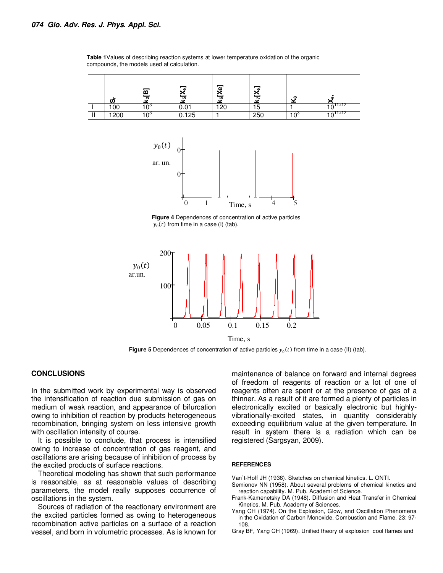**Table 1**Values of describing reaction systems at lower temperature oxidation of the organic compounds, the models used at calculation.

|     | ,,   | m<br>N | ு<br>-40           | க<br>s<br>$\omega$ | œ   | $\infty$ | ∽<br>m             |
|-----|------|--------|--------------------|--------------------|-----|----------|--------------------|
|     | 100  | $\sim$ | ັບ.∪ .             | 120                | כ ו |          | $10^{-11 \div 12}$ |
| . . | 1200 |        | $\overline{0.1}25$ |                    | 250 |          | $10^{-11}$         |



**Figure 4** Dependences of concentration of active particles  $y_0(t)$  from time in a case (I) (tab).



Time, s

**Figure 5** Dependences of concentration of active particles  $y_0(t)$  from time in a case (II) (tab).

### **CONCLUSIONS**

In the submitted work by experimental way is observed the intensification of reaction due submission of gas on medium of weak reaction, and appearance of bifurcation owing to inhibition of reaction by products heterogeneous recombination, bringing system on less intensive growth with oscillation intensity of course.

It is possible to conclude, that process is intensified owing to increase of concentration of gas reagent, and oscillations are arising because of inhibition of process by the excited products of surface reactions.

Theoretical modeling has shown that such performance is reasonable, as at reasonable values of describing parameters, the model really supposes occurrence of oscillations in the system.

Sources of radiation of the reactionary environment are the excited particles formed as owing to heterogeneous recombination active particles on a surface of a reaction vessel, and born in volumetric processes. As is known for

maintenance of balance on forward and internal degrees of freedom of reagents of reaction or a lot of one of reagents often are spent or at the presence of gas of a thinner. As a result of it are formed a plenty of particles in electronically excited or basically electronic but highlyvibrationally-excited states, in quantity considerably exceeding equilibrium value at the given temperature. In result in system there is a radiation which can be registered (Sargsyan, 2009).

#### **REFERENCES**

Van`t-Hoff JH (1936). Sketches on chemical kinetics. L. ONTI.

- Semionov NN (1958). About several problems of chemical kinetics and
- reaction capability. M. Pub. Academi of Science. Frank-Kamenetsky DA (1948). Diffusion and Heat Transfer in Chemical Kinetics. M. Pub. Academy of Sciences.
- Yang CH (1974). On the Explosion, Glow, and Oscillation Phenomena in the Oxidation of Carbon Monoxide. Combustion and Flame. 23: 97- 108.
- Gray BF, Yang CH (1969). Unified theory of explosion cool flames and